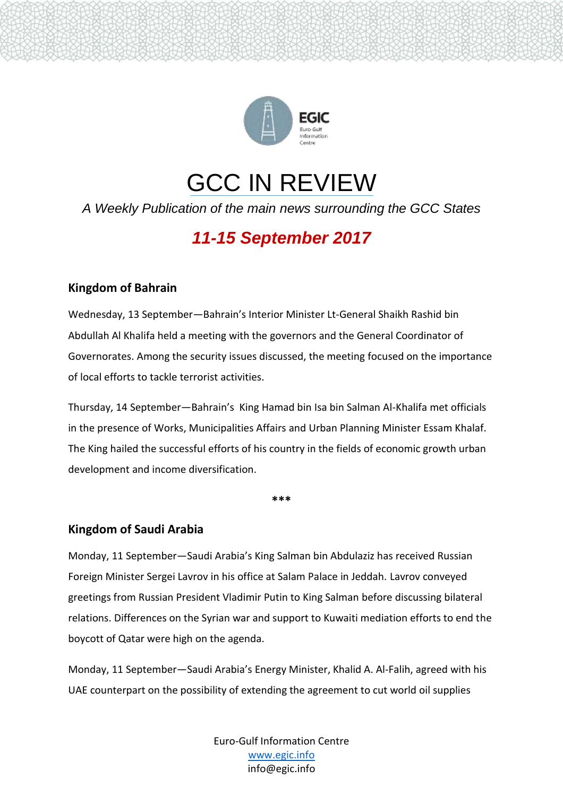

# GCC IN REVIEW

*A Weekly Publication of the main news surrounding the GCC States*

# *11-15 September 2017*

# **Kingdom of Bahrain**

Wednesday, 13 September—Bahrain's Interior Minister Lt-General Shaikh Rashid bin Abdullah Al Khalifa held a meeting with the governors and the General Coordinator of Governorates. Among the security issues discussed, the meeting focused on the importance of local efforts to tackle terrorist activities.

Thursday, 14 September—Bahrain's King Hamad bin Isa bin Salman Al-Khalifa met officials in the presence of Works, Municipalities Affairs and Urban Planning Minister Essam Khalaf. The King hailed the successful efforts of his country in the fields of economic growth urban development and income diversification.

**\*\*\***

### **Kingdom of Saudi Arabia**

Monday, 11 September—Saudi Arabia's King Salman bin Abdulaziz has received Russian Foreign Minister Sergei Lavrov in his office at Salam Palace in Jeddah. Lavrov conveyed greetings from Russian President Vladimir Putin to King Salman before discussing bilateral relations. Differences on the Syrian war and support to Kuwaiti mediation efforts to end the boycott of Qatar were high on the agenda.

Monday, 11 September—Saudi Arabia's Energy Minister, Khalid A. Al-Falih, agreed with his UAE counterpart on the possibility of extending the agreement to cut world oil supplies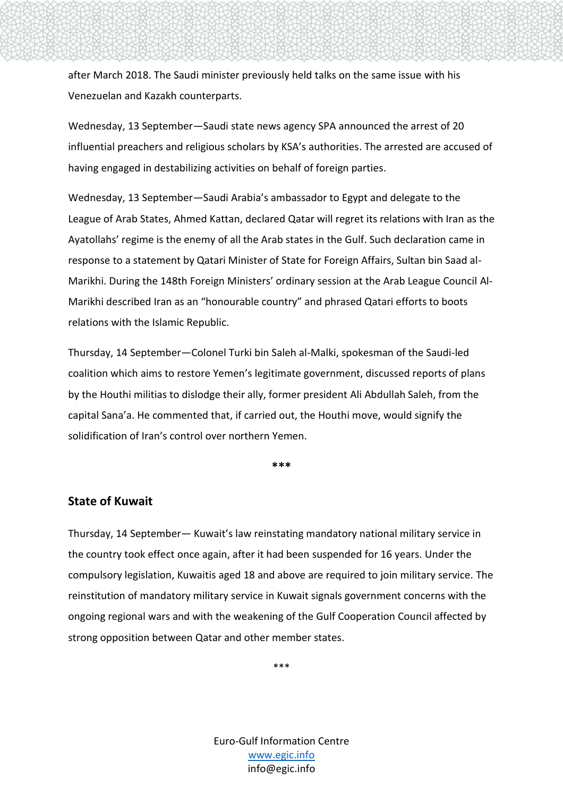after March 2018. The Saudi minister previously held talks on the same issue with his Venezuelan and Kazakh counterparts.

Wednesday, 13 September—Saudi state news agency SPA announced the arrest of 20 influential preachers and religious scholars by KSA's authorities. The arrested are accused of having engaged in destabilizing activities on behalf of foreign parties.

Wednesday, 13 September—Saudi Arabia's ambassador to Egypt and delegate to the League of Arab States, Ahmed Kattan, declared Qatar will regret its relations with Iran as the Ayatollahs' regime is the enemy of all the Arab states in the Gulf. Such declaration came in response to a statement by Qatari Minister of State for Foreign Affairs, Sultan bin Saad al-Marikhi. During the 148th Foreign Ministers' ordinary session at the Arab League Council Al-Marikhi described Iran as an "honourable country" and phrased Qatari efforts to boots relations with the Islamic Republic.

Thursday, 14 September—Colonel Turki bin Saleh al-Malki, spokesman of the Saudi-led coalition which aims to restore Yemen's legitimate government, discussed reports of plans by the Houthi militias to dislodge their ally, former president Ali Abdullah Saleh, from the capital Sana'a. He commented that, if carried out, the Houthi move, would signify the solidification of Iran's control over northern Yemen.

**\*\*\***

#### **State of Kuwait**

Thursday, 14 September— Kuwait's law reinstating mandatory national military service in the country took effect once again, after it had been suspended for 16 years. Under the compulsory legislation, Kuwaitis aged 18 and above are required to join military service. The reinstitution of mandatory military service in Kuwait signals government concerns with the ongoing regional wars and with the weakening of the Gulf Cooperation Council affected by strong opposition between Qatar and other member states.

\*\*\*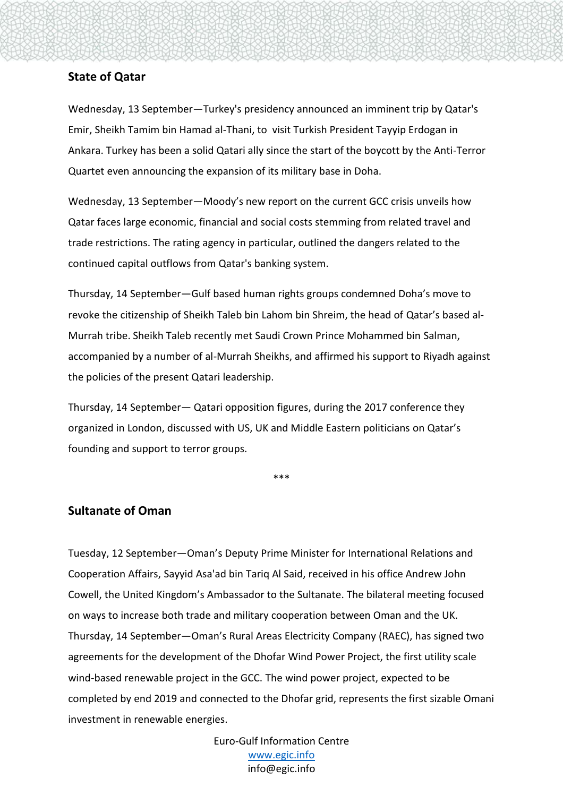#### **State of Qatar**

Wednesday, 13 September—Turkey's presidency announced an imminent trip by Qatar's Emir, Sheikh Tamim bin Hamad al-Thani, to visit Turkish President Tayyip Erdogan in Ankara. Turkey has been a solid Qatari ally since the start of the boycott by the Anti-Terror Quartet even announcing the expansion of its military base in Doha.

Wednesday, 13 September—Moody's new report on the current GCC crisis unveils how Qatar faces large economic, financial and social costs stemming from related travel and trade restrictions. The rating agency in particular, outlined the dangers related to the continued capital outflows from Qatar's banking system.

Thursday, 14 September—Gulf based human rights groups condemned Doha's move to revoke the citizenship of Sheikh Taleb bin Lahom bin Shreim, the head of Qatar's based al-Murrah tribe. Sheikh Taleb recently met Saudi Crown Prince Mohammed bin Salman, accompanied by a number of al-Murrah Sheikhs, and affirmed his support to Riyadh against the policies of the present Qatari leadership.

Thursday, 14 September— Qatari opposition figures, during the 2017 conference they organized in London, discussed with US, UK and Middle Eastern politicians on Qatar's founding and support to terror groups.

\*\*\*

#### **Sultanate of Oman**

Tuesday, 12 September—Oman's Deputy Prime Minister for International Relations and Cooperation Affairs, Sayyid Asa'ad bin Tariq Al Said, received in his office Andrew John Cowell, the United Kingdom's Ambassador to the Sultanate. The bilateral meeting focused on ways to increase both trade and military cooperation between Oman and the UK. Thursday, 14 September—Oman's Rural Areas Electricity Company (RAEC), has signed two agreements for the development of the Dhofar Wind Power Project, the first utility scale wind-based renewable project in the GCC. The wind power project, expected to be completed by end 2019 and connected to the Dhofar grid, represents the first sizable Omani investment in renewable energies.